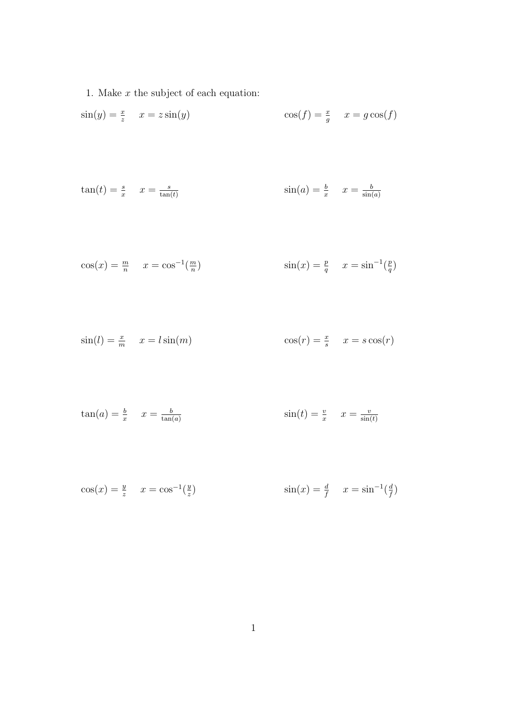1. Make  $x$  the subject of each equation:

$$
\sin(y) = \frac{x}{z} \quad x = z \sin(y) \qquad \cos(f) = \frac{x}{g} \quad x = g \cos(f)
$$

$$
\tan(t) = \frac{s}{x} \quad x = \frac{s}{\tan(t)} \qquad \qquad \sin(a) = \frac{b}{x} \quad x = \frac{b}{\sin(a)}
$$

$$
\cos(x) = \frac{m}{n} \quad x = \cos^{-1}(\frac{m}{n}) \qquad \sin(x) = \frac{p}{q} \quad x = \sin^{-1}(\frac{p}{q})
$$

$$
\sin(l) = \frac{x}{m} \quad x = l\sin(m) \qquad \cos(r) = \frac{x}{s} \quad x = s\cos(r)
$$

$$
\tan(a) = \frac{b}{x} \qquad x = \frac{b}{\tan(a)} \qquad \qquad \sin(t) = \frac{v}{x} \qquad x = \frac{v}{\sin(t)}
$$

$$
\cos(x) = \frac{y}{z} \quad x = \cos^{-1}(\frac{y}{z}) \qquad \sin(x) = \frac{d}{f} \quad x = \sin^{-1}(\frac{d}{f})
$$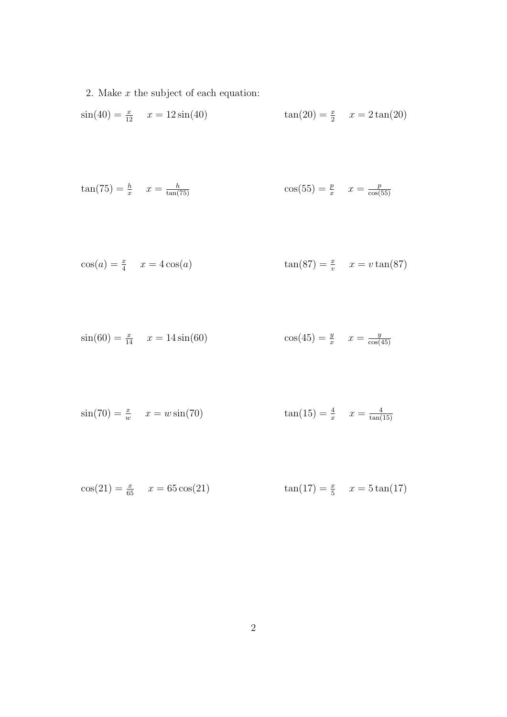2. Make  $x$  the subject of each equation:

$$
\sin(40) = \frac{x}{12} \quad x = 12\sin(40) \qquad \tan(20) = \frac{x}{2} \quad x = 2\tan(20)
$$

$$
\tan(75) = \frac{h}{x} \quad x = \frac{h}{\tan(75)} \qquad \cos(55) = \frac{p}{x} \quad x = \frac{p}{\cos(55)}
$$

$$
\cos(a) = \frac{x}{4} \quad x = 4\cos(a) \qquad \qquad \tan(87) = \frac{x}{v} \quad x = v\tan(87)
$$

$$
\sin(60) = \frac{x}{14} \quad x = 14\sin(60) \qquad \cos(45) = \frac{y}{x} \quad x = \frac{y}{\cos(45)}
$$

$$
sin(70) = \frac{x}{w}
$$
  $x = w sin(70)$   $tan(15) = \frac{4}{x}$   $x = \frac{4}{tan(15)}$ 

$$
\cos(21) = \frac{x}{65} \quad x = 65 \cos(21) \qquad \tan(17) = \frac{x}{5} \quad x = 5 \tan(17)
$$